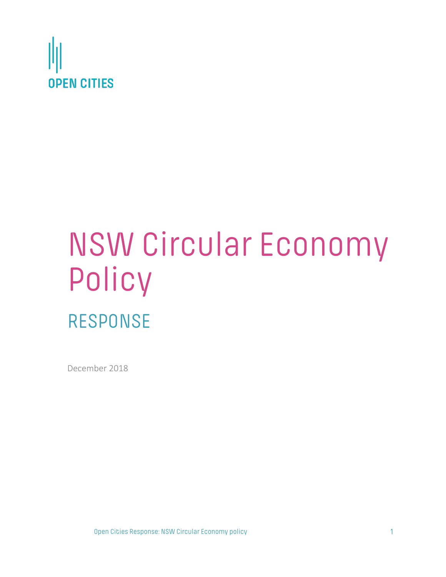

# NSW Circular Economy Policy RESPONSE

December 2018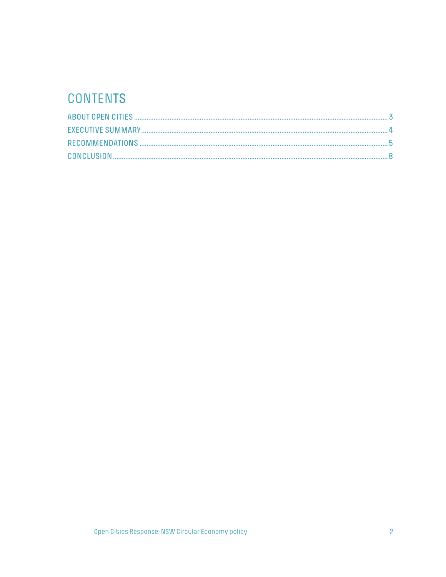# CONTENTS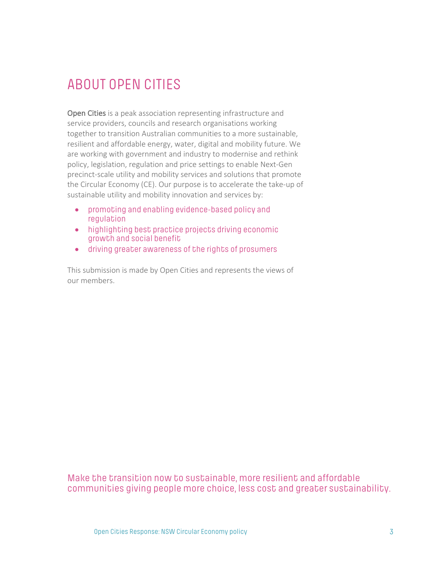# ABOUT OPEN CITIES

Open Cities is a peak association representing infrastructure and service providers, councils and research organisations working together to transition Australian communities to a more sustainable, resilient and affordable energy, water, digital and mobility future. We are working with government and industry to modernise and rethink policy, legislation, regulation and price settings to enable Next-Gen precinct-scale utility and mobility services and solutions that promote the Circular Economy (CE). Our purpose is to accelerate the take-up of sustainable utility and mobility innovation and services by:

- promoting and enabling evidence-based policy and regulation
- highlighting best practice projects driving economic growth and social benefit
- driving greater awareness of the rights of prosumers

This submission is made by Open Cities and represents the views of our members.

Make the transition now to sustainable, more resilient and affordable communities giving people more choice, less cost and greater sustainability.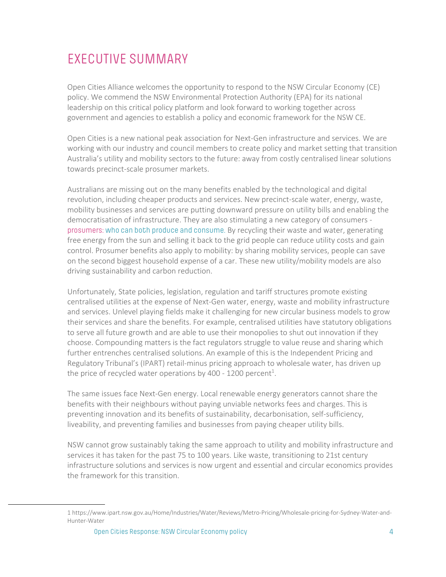## EXECUTIVE SUMMARY

Open Cities Alliance welcomes the opportunity to respond to the NSW Circular Economy (CE) policy. We commend the NSW Environmental Protection Authority (EPA) for its national leadership on this critical policy platform and look forward to working together across government and agencies to establish a policy and economic framework for the NSW CE.

Open Cities is a new national peak association for Next-Gen infrastructure and services. We are working with our industry and council members to create policy and market setting that transition Australia's utility and mobility sectors to the future: away from costly centralised linear solutions towards precinct-scale prosumer markets.

Australians are missing out on the many benefits enabled by the technological and digital revolution, including cheaper products and services. New precinct-scale water, energy, waste, mobility businesses and services are putting downward pressure on utility bills and enabling the democratisation of infrastructure. They are also stimulating a new category of consumers prosumers: who can both produce and consume. By recycling their waste and water, generating free energy from the sun and selling it back to the grid people can reduce utility costs and gain control. Prosumer benefits also apply to mobility: by sharing mobility services, people can save on the second biggest household expense of a car. These new utility/mobility models are also driving sustainability and carbon reduction.

Unfortunately, State policies, legislation, regulation and tariff structures promote existing centralised utilities at the expense of Next-Gen water, energy, waste and mobility infrastructure and services. Unlevel playing fields make it challenging for new circular business models to grow their services and share the benefits. For example, centralised utilities have statutory obligations to serve all future growth and are able to use their monopolies to shut out innovation if they choose. Compounding matters is the fact regulators struggle to value reuse and sharing which further entrenches centralised solutions. An example of this is the Independent Pricing and Regulatory Tribunal's (IPART) retail-minus pricing approach to wholesale water, has driven up the price of recycled water operations by 400 - 1200 percent<sup>1</sup>.

The same issues face Next-Gen energy. Local renewable energy generators cannot share the benefits with their neighbours without paying unviable networks fees and charges. This is preventing innovation and its benefits of sustainability, decarbonisation, self-sufficiency, liveability, and preventing families and businesses from paying cheaper utility bills.

NSW cannot grow sustainably taking the same approach to utility and mobility infrastructure and services it has taken for the past 75 to 100 years. Like waste, transitioning to 21st century infrastructure solutions and services is now urgent and essential and circular economics provides the framework for this transition.

<sup>1</sup> https://www.ipart.nsw.gov.au/Home/Industries/Water/Reviews/Metro-Pricing/Wholesale-pricing-for-Sydney-Water-and-Hunter-Water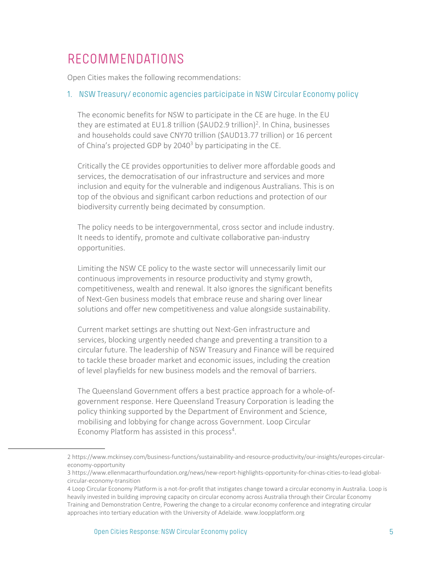### RECOMMENDATIONS

Open Cities makes the following recommendations:

#### 1. NSW Treasury/ economic agencies participate in NSW Circular Economy policy

The economic benefits for NSW to participate in the CE are huge. In the EU they are estimated at EU1.8 trillion (\$AUD2.9 trillion)<sup>2</sup>. In China, businesses and households could save CNY70 trillion (\$AUD13.77 trillion) or 16 percent of China's projected GDP by 2040<sup>3</sup> by participating in the CE.

Critically the CE provides opportunities to deliver more affordable goods and services, the democratisation of our infrastructure and services and more inclusion and equity for the vulnerable and indigenous Australians. This is on top of the obvious and significant carbon reductions and protection of our biodiversity currently being decimated by consumption.

The policy needs to be intergovernmental, cross sector and include industry. It needs to identify, promote and cultivate collaborative pan-industry opportunities.

Limiting the NSW CE policy to the waste sector will unnecessarily limit our continuous improvements in resource productivity and stymy growth, competitiveness, wealth and renewal. It also ignores the significant benefits of Next-Gen business models that embrace reuse and sharing over linear solutions and offer new competitiveness and value alongside sustainability.

Current market settings are shutting out Next-Gen infrastructure and services, blocking urgently needed change and preventing a transition to a circular future. The leadership of NSW Treasury and Finance will be required to tackle these broader market and economic issues, including the creation of level playfields for new business models and the removal of barriers.

The Queensland Government offers a best practice approach for a whole-ofgovernment response. Here Queensland Treasury Corporation is leading the policy thinking supported by the Department of Environment and Science, mobilising and lobbying for change across Government. Loop Circular Economy Platform has assisted in this process<sup>4</sup>.

<sup>2</sup> https://www.mckinsey.com/business-functions/sustainability-and-resource-productivity/our-insights/europes-circulareconomy-opportunity

<sup>3</sup> https://www.ellenmacarthurfoundation.org/news/new-report-highlights-opportunity-for-chinas-cities-to-lead-globalcircular-economy-transition

<sup>4</sup> Loop Circular Economy Platform is a not-for-profit that instigates change toward a circular economy in Australia. Loop is heavily invested in building improving capacity on circular economy across Australia through their Circular Economy Training and Demonstration Centre, Powering the change to a circular economy conference and integrating circular approaches into tertiary education with the University of Adelaide. www.loopplatform.org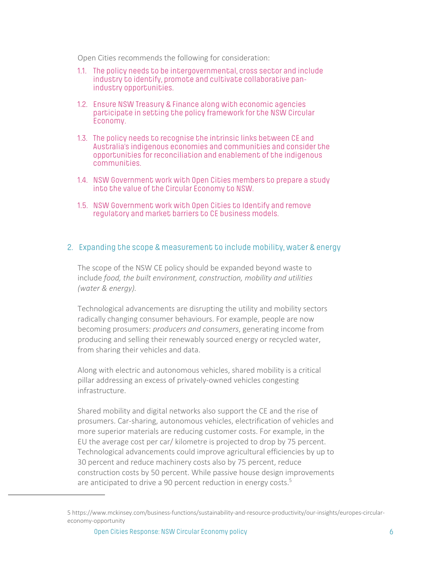Open Cities recommends the following for consideration:

- 1.1. The policy needs to be intergovernmental, cross sector and include industry to identify, promote and cultivate collaborative panindustry opportunities.
- 1.2. Ensure NSW Treasury & Finance along with economic agencies participate in setting the policy framework for the NSW Circular Economy.
- 1.3. The policy needs to recognise the intrinsic links between CE and Australia's indigenous economies and communities and consider the opportunities for reconciliation and enablement of the indigenous communities.
- 1.4. NSW Government work with Open Cities members to prepare a study into the value of the Circular Economy to NSW.
- 1.5. NSW Government work with Open Cities to Identify and remove regulatory and market barriers to CE business models.

#### 2. Expanding the scope & measurement to include mobility, water & energy

The scope of the NSW CE policy should be expanded beyond waste to include *food, the built environment, construction, mobility and utilities (water & energy).*

Technological advancements are disrupting the utility and mobility sectors radically changing consumer behaviours. For example, people are now becoming prosumers: *producers and consumers*, generating income from producing and selling their renewably sourced energy or recycled water, from sharing their vehicles and data.

Along with electric and autonomous vehicles, shared mobility is a critical pillar addressing an excess of privately-owned vehicles congesting infrastructure.

Shared mobility and digital networks also support the CE and the rise of prosumers. Car-sharing, autonomous vehicles, electrification of vehicles and more superior materials are reducing customer costs. For example, in the EU the average cost per car/ kilometre is projected to drop by 75 percent. Technological advancements could improve agricultural efficiencies by up to 30 percent and reduce machinery costs also by 75 percent, reduce construction costs by 50 percent. While passive house design improvements are anticipated to drive a 90 percent reduction in energy costs. $5$ 

<sup>5</sup> https://www.mckinsey.com/business-functions/sustainability-and-resource-productivity/our-insights/europes-circulareconomy-opportunity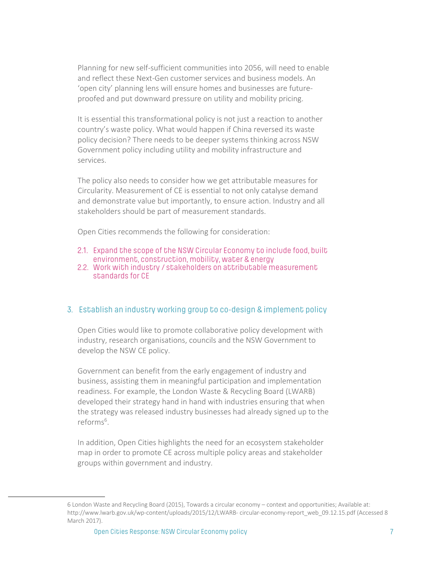Planning for new self-sufficient communities into 2056, will need to enable and reflect these Next-Gen customer services and business models. An 'open city' planning lens will ensure homes and businesses are futureproofed and put downward pressure on utility and mobility pricing.

It is essential this transformational policy is not just a reaction to another country's waste policy. What would happen if China reversed its waste policy decision? There needs to be deeper systems thinking across NSW Government policy including utility and mobility infrastructure and services.

The policy also needs to consider how we get attributable measures for Circularity. Measurement of CE is essential to not only catalyse demand and demonstrate value but importantly, to ensure action. Industry and all stakeholders should be part of measurement standards.

Open Cities recommends the following for consideration:

- 2.1. Expand the scope of the NSW Circular Economy to include food, built environment, construction, mobility, water & energy
- 2.2. Work with industry / stakeholders on attributable measurement standards for CE

#### 3. Establish an industry working group to co-design & implement policy

Open Cities would like to promote collaborative policy development with industry, research organisations, councils and the NSW Government to develop the NSW CE policy.

Government can benefit from the early engagement of industry and business, assisting them in meaningful participation and implementation readiness. For example, the London Waste & Recycling Board (LWARB) developed their strategy hand in hand with industries ensuring that when the strategy was released industry businesses had already signed up to the reforms<sup>6</sup>.

In addition, Open Cities highlights the need for an ecosystem stakeholder map in order to promote CE across multiple policy areas and stakeholder groups within government and industry.

<sup>6</sup> London Waste and Recycling Board (2015), Towards a circular economy – context and opportunities; Available at: http://www.lwarb.gov.uk/wp-content/uploads/2015/12/LWARB- circular-economy-report\_web\_09.12.15.pdf (Accessed 8 March 2017).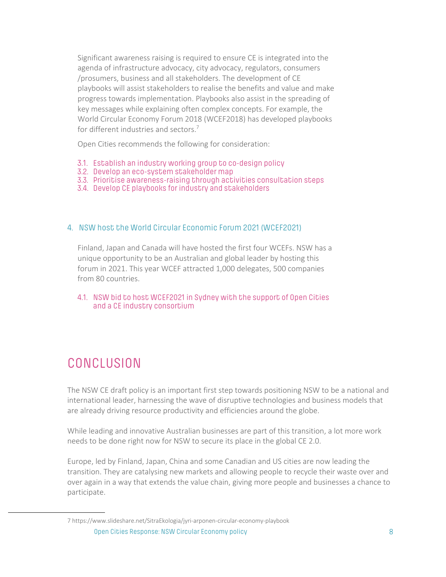Significant awareness raising is required to ensure CE is integrated into the agenda of infrastructure advocacy, city advocacy, regulators, consumers /prosumers, business and all stakeholders. The development of CE playbooks will assist stakeholders to realise the benefits and value and make progress towards implementation. Playbooks also assist in the spreading of key messages while explaining often complex concepts. For example, the World Circular Economy Forum 2018 (WCEF2018) has developed playbooks for different industries and sectors.<sup>7</sup>

Open Cities recommends the following for consideration:

- 3.1. Establish an industry working group to co-design policy
- 3.2. Develop an eco-system stakeholder map
- 3.3. Prioritise awareness-raising through activities consultation steps
- 3.4. Develop CE playbooks for industry and stakeholders

#### 4. NSW host the World Circular Economic Forum 2021 (WCEF2021)

Finland, Japan and Canada will have hosted the first four WCEFs. NSW has a unique opportunity to be an Australian and global leader by hosting this forum in 2021. This year WCEF attracted 1,000 delegates, 500 companies from 80 countries.

4.1. NSW bid to host WCEF2021 in Sydney with the support of Open Cities and a CE industry consortium

## CONCLUSION

The NSW CE draft policy is an important first step towards positioning NSW to be a national and international leader, harnessing the wave of disruptive technologies and business models that are already driving resource productivity and efficiencies around the globe.

While leading and innovative Australian businesses are part of this transition, a lot more work needs to be done right now for NSW to secure its place in the global CE 2.0.

Europe, led by Finland, Japan, China and some Canadian and US cities are now leading the transition. They are catalysing new markets and allowing people to recycle their waste over and over again in a way that extends the value chain, giving more people and businesses a chance to participate.

Open Cities Response: NSW Circular Economy policy 8 7 https://www.slideshare.net/SitraEkologia/jyri-arponen-circular-economy-playbook